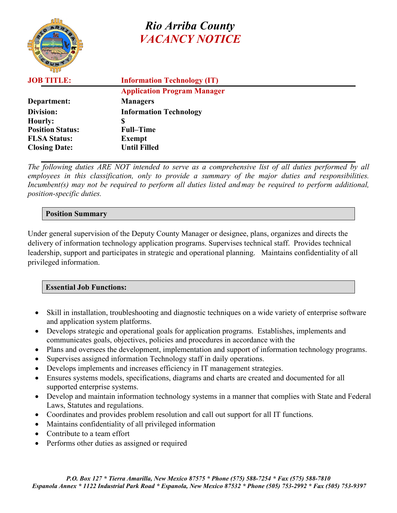|                         | Rio Arriba Coun<br>VACANCY NOTI    |
|-------------------------|------------------------------------|
| <b>JOB TITLE:</b>       | <b>Information Technology (IT)</b> |
|                         | <b>Application Program Manager</b> |
| Department:             | <b>Managers</b>                    |
| Division:               | <b>Information Technology</b>      |
| <b>Hourly:</b>          | S                                  |
| <b>Position Status:</b> | <b>Full-Time</b>                   |
| <b>FLSA Status:</b>     | <b>Exempt</b>                      |
| <b>Closing Date:</b>    | <b>Until Filled</b>                |

# *Rio Arriba County <i>V* NOTICE

*The following duties ARE NOT intended to serve as a comprehensive list of all duties performed by all employees in this classification, only to provide a summary of the major duties and responsibilities. Incumbent(s) may not be required to perform all duties listed and may be required to perform additional, position-specific duties.*

## **Position Summary**

Under general supervision of the Deputy County Manager or designee, plans, organizes and directs the delivery of information technology application programs. Supervises technical staff. Provides technical leadership, support and participates in strategic and operational planning. Maintains confidentiality of all privileged information.

#### **Essential Job Functions:**

- Skill in installation, troubleshooting and diagnostic techniques on a wide variety of enterprise software and application system platforms.
- Develops strategic and operational goals for application programs. Establishes, implements and communicates goals, objectives, policies and procedures in accordance with the
- Plans and oversees the development, implementation and support of information technology programs.
- Supervises assigned information Technology staff in daily operations.
- Develops implements and increases efficiency in IT management strategies.
- Ensures systems models, specifications, diagrams and charts are created and documented for all supported enterprise systems.
- Develop and maintain information technology systems in a manner that complies with State and Federal Laws, Statutes and regulations.
- Coordinates and provides problem resolution and call out support for all IT functions.
- Maintains confidentiality of all privileged information
- Contribute to a team effort
- Performs other duties as assigned or required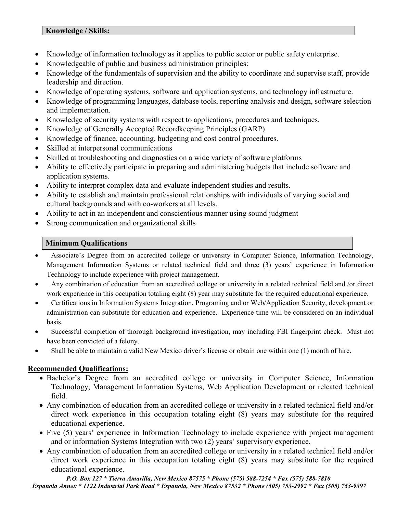- Knowledge of information technology as it applies to public sector or public safety enterprise.
- Knowledgeable of public and business administration principles:
- Knowledge of the fundamentals of supervision and the ability to coordinate and supervise staff, provide leadership and direction.
- Knowledge of operating systems, software and application systems, and technology infrastructure.
- Knowledge of programming languages, database tools, reporting analysis and design, software selection and implementation.
- Knowledge of security systems with respect to applications, procedures and techniques.
- Knowledge of Generally Accepted Recordkeeping Principles (GARP)
- Knowledge of finance, accounting, budgeting and cost control procedures.
- Skilled at interpersonal communications
- Skilled at troubleshooting and diagnostics on a wide variety of software platforms
- Ability to effectively participate in preparing and administering budgets that include software and application systems.
- Ability to interpret complex data and evaluate independent studies and results.
- Ability to establish and maintain professional relationships with individuals of varying social and cultural backgrounds and with co-workers at all levels.
- Ability to act in an independent and conscientious manner using sound judgment
- Strong communication and organizational skills

## **Minimum Qualifications**

- Associate's Degree from an accredited college or university in Computer Science, Information Technology, Management Information Systems or related technical field and three (3) years' experience in Information Technology to include experience with project management.
- Any combination of education from an accredited college or university in a related technical field and /or direct work experience in this occupation totaling eight (8) year may substitute for the required educational experience.
- Certifications in Information Systems Integration, Programing and or Web/Application Security, development or administration can substitute for education and experience. Experience time will be considered on an individual basis.
- Successful completion of thorough background investigation, may including FBI fingerprint check. Must not have been convicted of a felony.
- Shall be able to maintain a valid New Mexico driver's license or obtain one within one (1) month of hire.

## **Recommended Qualifications:**

- Bachelor's Degree from an accredited college or university in Computer Science, Information Technology, Management Information Systems, Web Application Development or releated technical field.
- Any combination of education from an accredited college or university in a related technical field and/or direct work experience in this occupation totaling eight (8) years may substitute for the required educational experience.
- Five (5) years' experience in Information Technology to include experience with project management and or information Systems Integration with two (2) years' supervisory experience.
- Any combination of education from an accredited college or university in a related technical field and/or direct work experience in this occupation totaling eight (8) years may substitute for the required educational experience.